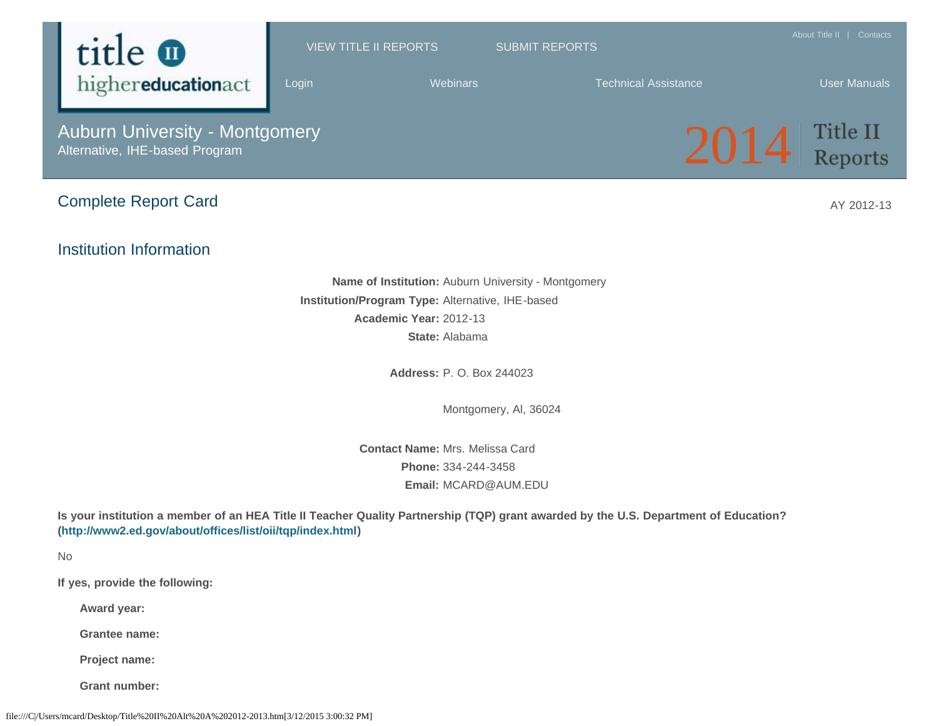

Montgomery, Al, 36024

**Contact Name:** Mrs. Melissa Card

**Phone:** 334-244-3458 **Email:** MCARD@AUM.EDU

**Is your institution a member of an HEA Title II Teacher Quality Partnership (TQP) grant awarded by the U.S. Department of Education? ([http://www2.ed.gov/about/offices/list/oii/tqp/index.html\)](http://www2.ed.gov/about/offices/list/oii/tqp/index.html)**

No

**If yes, provide the following:**

**Award year:**

**Grantee name:**

**Project name:**

**Grant number:**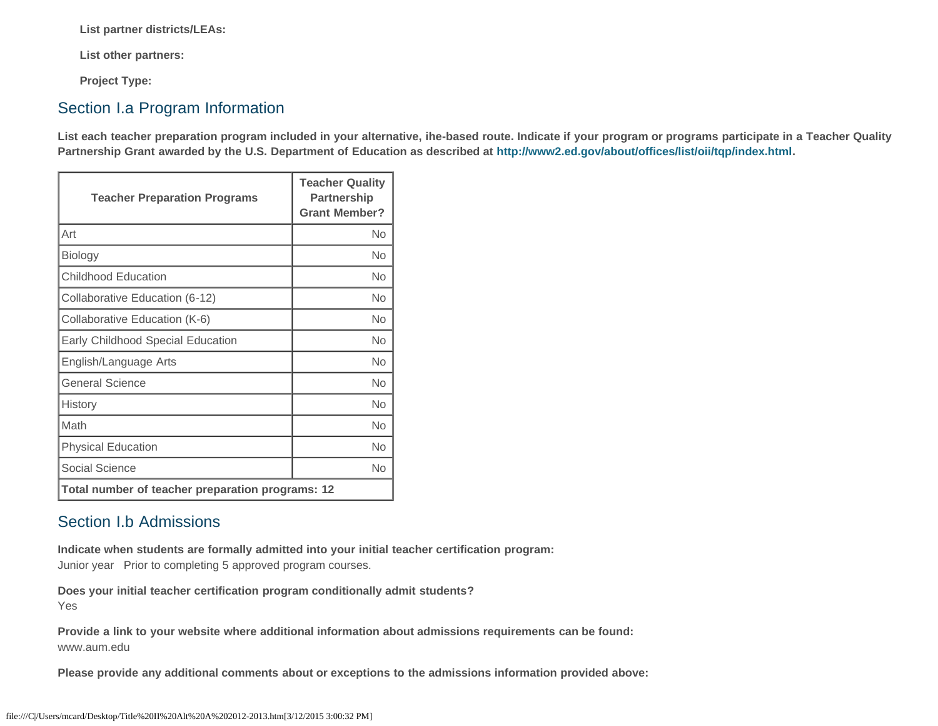**List partner districts/LEAs:**

**List other partners:**

**Project Type:**

### Section I.a Program Information

**List each teacher preparation program included in your alternative, ihe-based route. Indicate if your program or programs participate in a Teacher Quality Partnership Grant awarded by the U.S. Department of Education as described at<http://www2.ed.gov/about/offices/list/oii/tqp/index.html>.**

| <b>Teacher Preparation Programs</b>              | <b>Teacher Quality</b><br>Partnership<br><b>Grant Member?</b> |  |
|--------------------------------------------------|---------------------------------------------------------------|--|
| Art                                              | No                                                            |  |
| Biology                                          | No                                                            |  |
| <b>Childhood Education</b>                       | No                                                            |  |
| Collaborative Education (6-12)                   | No                                                            |  |
| Collaborative Education (K-6)                    | No                                                            |  |
| Early Childhood Special Education                | No                                                            |  |
| English/Language Arts                            | <b>No</b>                                                     |  |
| General Science                                  | No                                                            |  |
| History                                          | <b>No</b>                                                     |  |
| Math                                             | No                                                            |  |
| <b>Physical Education</b>                        | <b>No</b>                                                     |  |
| Social Science                                   | <b>No</b>                                                     |  |
| Total number of teacher preparation programs: 12 |                                                               |  |

### Section I.b Admissions

**Indicate when students are formally admitted into your initial teacher certification program:**  Junior year Prior to completing 5 approved program courses.

**Does your initial teacher certification program conditionally admit students?** Yes

**Provide a link to your website where additional information about admissions requirements can be found:** www.aum.edu

**Please provide any additional comments about or exceptions to the admissions information provided above:**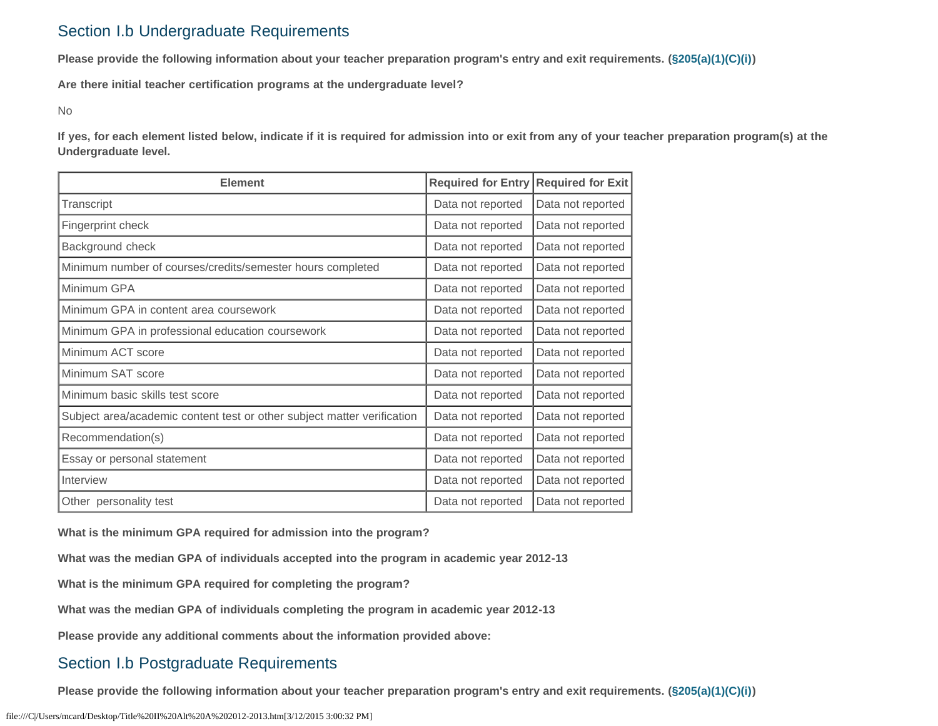### Section I.b Undergraduate Requirements

**Please provide the following information about your teacher preparation program's entry and exit requirements. [\(§205\(a\)\(1\)\(C\)\(i\)](http://frwebgate.access.gpo.gov/cgi-bin/getdoc.cgi?dbname=110_cong_public_laws&docid=f:publ315.110.pdf))**

**Are there initial teacher certification programs at the undergraduate level?**

No

**If yes, for each element listed below, indicate if it is required for admission into or exit from any of your teacher preparation program(s) at the Undergraduate level.**

| <b>Element</b>                                                          | <b>Required for Exit</b><br><b>Required for Entry</b> |                   |
|-------------------------------------------------------------------------|-------------------------------------------------------|-------------------|
| Transcript                                                              | Data not reported                                     | Data not reported |
| Fingerprint check                                                       | Data not reported                                     | Data not reported |
| Background check                                                        | Data not reported                                     | Data not reported |
| Minimum number of courses/credits/semester hours completed              | Data not reported                                     | Data not reported |
| Minimum GPA                                                             | Data not reported                                     | Data not reported |
| Minimum GPA in content area coursework                                  | Data not reported                                     | Data not reported |
| Minimum GPA in professional education coursework                        | Data not reported                                     | Data not reported |
| Minimum ACT score                                                       | Data not reported                                     | Data not reported |
| Minimum SAT score                                                       | Data not reported                                     | Data not reported |
| Minimum basic skills test score                                         | Data not reported                                     | Data not reported |
| Subject area/academic content test or other subject matter verification | Data not reported                                     | Data not reported |
| Recommendation(s)                                                       | Data not reported                                     | Data not reported |
| Essay or personal statement                                             | Data not reported                                     | Data not reported |
| Interview                                                               | Data not reported                                     | Data not reported |
| Other personality test                                                  | Data not reported                                     | Data not reported |

**What is the minimum GPA required for admission into the program?**

**What was the median GPA of individuals accepted into the program in academic year 2012-13**

**What is the minimum GPA required for completing the program?**

**What was the median GPA of individuals completing the program in academic year 2012-13**

**Please provide any additional comments about the information provided above:**

### Section I.b Postgraduate Requirements

**Please provide the following information about your teacher preparation program's entry and exit requirements. [\(§205\(a\)\(1\)\(C\)\(i\)](http://frwebgate.access.gpo.gov/cgi-bin/getdoc.cgi?dbname=110_cong_public_laws&docid=f:publ315.110.pdf))**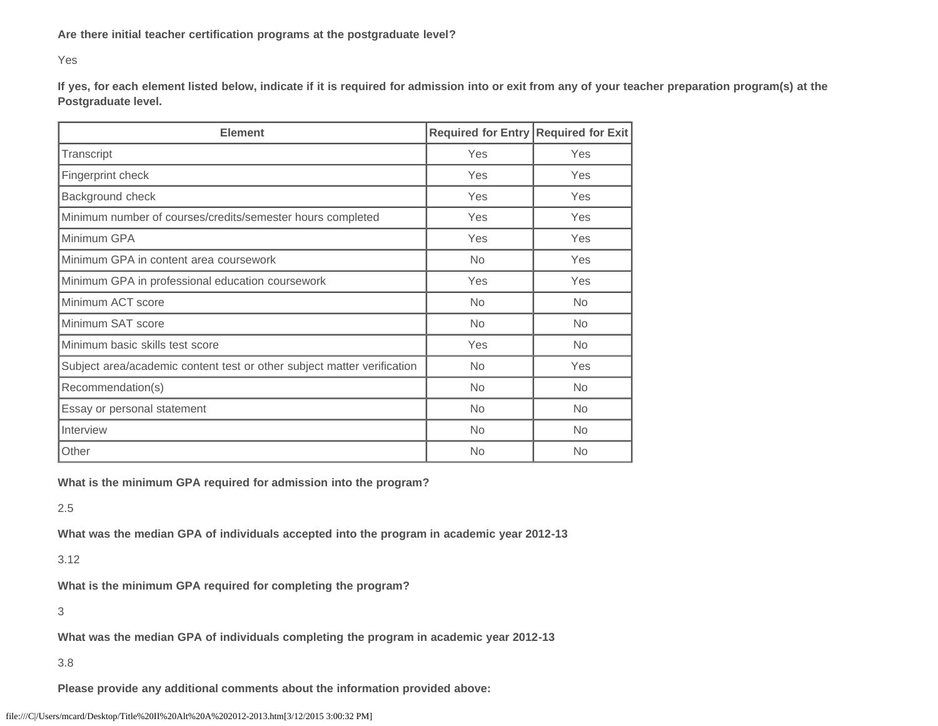Yes

**If yes, for each element listed below, indicate if it is required for admission into or exit from any of your teacher preparation program(s) at the Postgraduate level.**

| <b>Element</b>                                                          | Required for Entry Required for Exit |           |  |
|-------------------------------------------------------------------------|--------------------------------------|-----------|--|
| Transcript                                                              | Yes                                  | Yes       |  |
| Fingerprint check                                                       | <b>Yes</b>                           | Yes       |  |
| Background check                                                        | Yes                                  | Yes       |  |
| Minimum number of courses/credits/semester hours completed              | Yes                                  | Yes       |  |
| Minimum GPA                                                             | Yes                                  | Yes       |  |
| Minimum GPA in content area coursework                                  | No.                                  | Yes       |  |
| Minimum GPA in professional education coursework                        | Yes                                  | Yes       |  |
| Minimum ACT score                                                       | <b>No</b>                            | <b>No</b> |  |
| Minimum SAT score                                                       | <b>No</b>                            | <b>No</b> |  |
| Minimum basic skills test score                                         | Yes                                  | <b>No</b> |  |
| Subject area/academic content test or other subject matter verification | <b>No</b>                            | Yes       |  |
| Recommendation(s)                                                       | <b>No</b>                            | <b>No</b> |  |
| Essay or personal statement                                             | <b>No</b>                            | <b>No</b> |  |
| Interview                                                               | <b>No</b>                            | <b>No</b> |  |
| Other                                                                   | <b>No</b>                            | <b>No</b> |  |

**What is the minimum GPA required for admission into the program?**

2.5

**What was the median GPA of individuals accepted into the program in academic year 2012-13**

3.12

**What is the minimum GPA required for completing the program?**

3

**What was the median GPA of individuals completing the program in academic year 2012-13**

3.8

**Please provide any additional comments about the information provided above:**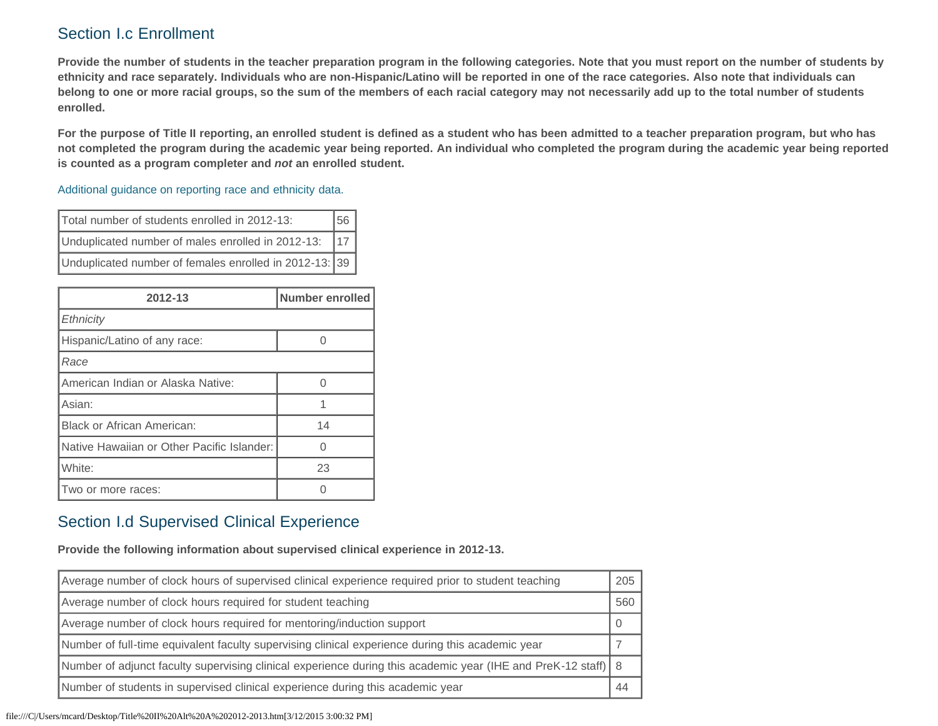## Section I.c Enrollment

**Provide the number of students in the teacher preparation program in the following categories. Note that you must report on the number of students by ethnicity and race separately. Individuals who are non-Hispanic/Latino will be reported in one of the race categories. Also note that individuals can belong to one or more racial groups, so the sum of the members of each racial category may not necessarily add up to the total number of students enrolled.**

**For the purpose of Title II reporting, an enrolled student is defined as a student who has been admitted to a teacher preparation program, but who has not completed the program during the academic year being reported. An individual who completed the program during the academic year being reported is counted as a program completer and** *not* **an enrolled student.**

[Additional guidance on reporting race and ethnicity data.](https://title2.ed.gov/Public/TA/Race_ethnicity.pdf)

| Total number of students enrolled in 2012-13:          |     |
|--------------------------------------------------------|-----|
| Unduplicated number of males enrolled in 2012-13:      | 117 |
| Unduplicated number of females enrolled in 2012-13: 39 |     |

| 2012-13                                    | Number enrolled |  |  |
|--------------------------------------------|-----------------|--|--|
| Ethnicity                                  |                 |  |  |
| Hispanic/Latino of any race:               |                 |  |  |
| Race                                       |                 |  |  |
| American Indian or Alaska Native:          |                 |  |  |
| Asian:                                     |                 |  |  |
| <b>Black or African American:</b>          | 14              |  |  |
| Native Hawaiian or Other Pacific Islander: | U               |  |  |
| White:                                     | 23              |  |  |
| Two or more races:                         |                 |  |  |

## Section I.d Supervised Clinical Experience

**Provide the following information about supervised clinical experience in 2012-13.**

| Average number of clock hours of supervised clinical experience required prior to student teaching            |     |
|---------------------------------------------------------------------------------------------------------------|-----|
| Average number of clock hours required for student teaching                                                   | 560 |
| Average number of clock hours required for mentoring/induction support                                        |     |
| Number of full-time equivalent faculty supervising clinical experience during this academic year              |     |
| Number of adjunct faculty supervising clinical experience during this academic year (IHE and PreK-12 staff) 8 |     |
| Number of students in supervised clinical experience during this academic year                                | 44  |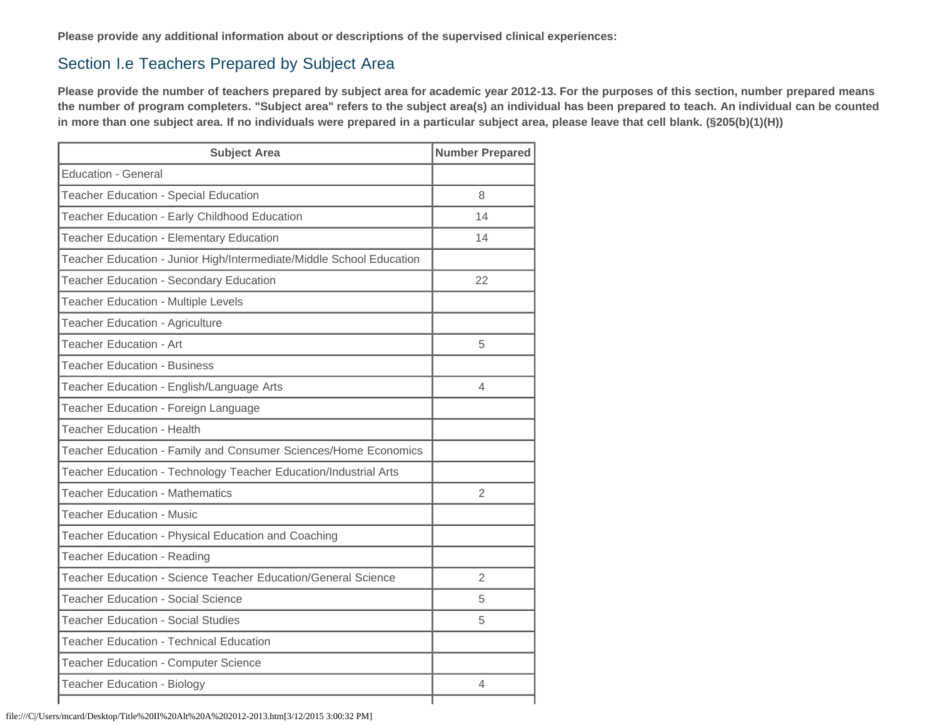**Please provide any additional information about or descriptions of the supervised clinical experiences:**

### Section I.e Teachers Prepared by Subject Area

**Please provide the number of teachers prepared by subject area for academic year 2012-13. For the purposes of this section, number prepared means the number of program completers. "Subject area" refers to the subject area(s) an individual has been prepared to teach. An individual can be counted in more than one subject area. If no individuals were prepared in a particular subject area, please leave that cell blank. (§205(b)(1)(H))**

| <b>Subject Area</b>                                                  | <b>Number Prepared</b> |
|----------------------------------------------------------------------|------------------------|
| <b>Education - General</b>                                           |                        |
| <b>Teacher Education - Special Education</b>                         | 8                      |
| Teacher Education - Early Childhood Education                        | 14                     |
| Teacher Education - Elementary Education                             | 14                     |
| Teacher Education - Junior High/Intermediate/Middle School Education |                        |
| Teacher Education - Secondary Education                              | 22                     |
| Teacher Education - Multiple Levels                                  |                        |
| <b>Teacher Education - Agriculture</b>                               |                        |
| Teacher Education - Art                                              | 5                      |
| <b>Teacher Education - Business</b>                                  |                        |
| Teacher Education - English/Language Arts                            | 4                      |
| Teacher Education - Foreign Language                                 |                        |
| <b>Teacher Education - Health</b>                                    |                        |
| Teacher Education - Family and Consumer Sciences/Home Economics      |                        |
| Teacher Education - Technology Teacher Education/Industrial Arts     |                        |
| <b>Teacher Education - Mathematics</b>                               | $\overline{2}$         |
| <b>Teacher Education - Music</b>                                     |                        |
| Teacher Education - Physical Education and Coaching                  |                        |
| <b>Teacher Education - Reading</b>                                   |                        |
| Teacher Education - Science Teacher Education/General Science        | 2                      |
| <b>Teacher Education - Social Science</b>                            | 5                      |
| <b>Teacher Education - Social Studies</b>                            | 5                      |
| <b>Teacher Education - Technical Education</b>                       |                        |
| <b>Teacher Education - Computer Science</b>                          |                        |
| <b>Teacher Education - Biology</b>                                   | 4                      |
|                                                                      |                        |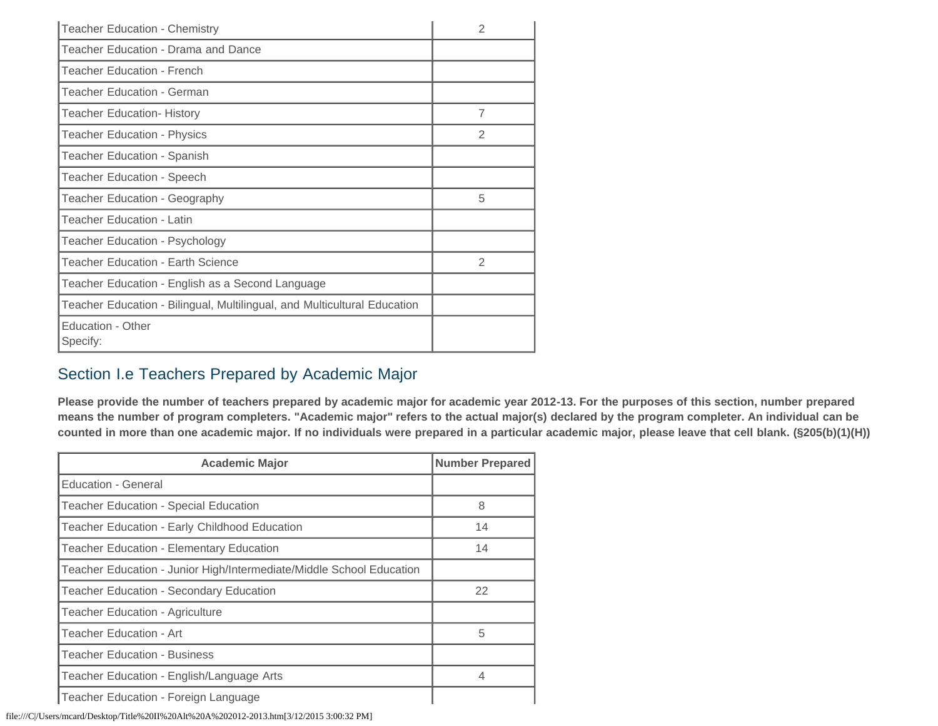| <b>Teacher Education - Chemistry</b>                                     | 2              |
|--------------------------------------------------------------------------|----------------|
| Teacher Education - Drama and Dance                                      |                |
| <b>Teacher Education - French</b>                                        |                |
| Teacher Education - German                                               |                |
| <b>Teacher Education- History</b>                                        | $\overline{7}$ |
| <b>Teacher Education - Physics</b>                                       | $\mathfrak{D}$ |
| <b>Teacher Education - Spanish</b>                                       |                |
| Teacher Education - Speech                                               |                |
| Teacher Education - Geography                                            | 5              |
| <b>Teacher Education - Latin</b>                                         |                |
| Teacher Education - Psychology                                           |                |
| Teacher Education - Earth Science                                        | 2              |
| Teacher Education - English as a Second Language                         |                |
| Teacher Education - Bilingual, Multilingual, and Multicultural Education |                |
| Education - Other<br>Specify:                                            |                |

### Section I.e Teachers Prepared by Academic Major

**Please provide the number of teachers prepared by academic major for academic year 2012-13. For the purposes of this section, number prepared means the number of program completers. "Academic major" refers to the actual major(s) declared by the program completer. An individual can be counted in more than one academic major. If no individuals were prepared in a particular academic major, please leave that cell blank. (§205(b)(1)(H))**

| <b>Academic Major</b>                                                | <b>Number Prepared</b> |
|----------------------------------------------------------------------|------------------------|
| Education - General                                                  |                        |
| Teacher Education - Special Education                                | 8                      |
| Teacher Education - Early Childhood Education                        | 14                     |
| <b>Teacher Education - Elementary Education</b>                      | 14                     |
| Teacher Education - Junior High/Intermediate/Middle School Education |                        |
| <b>Teacher Education - Secondary Education</b>                       | 22                     |
| <b>Teacher Education - Agriculture</b>                               |                        |
| Teacher Education - Art                                              | 5                      |
| <b>Teacher Education - Business</b>                                  |                        |
| Teacher Education - English/Language Arts                            | 4                      |
| Teacher Education - Foreign Language                                 |                        |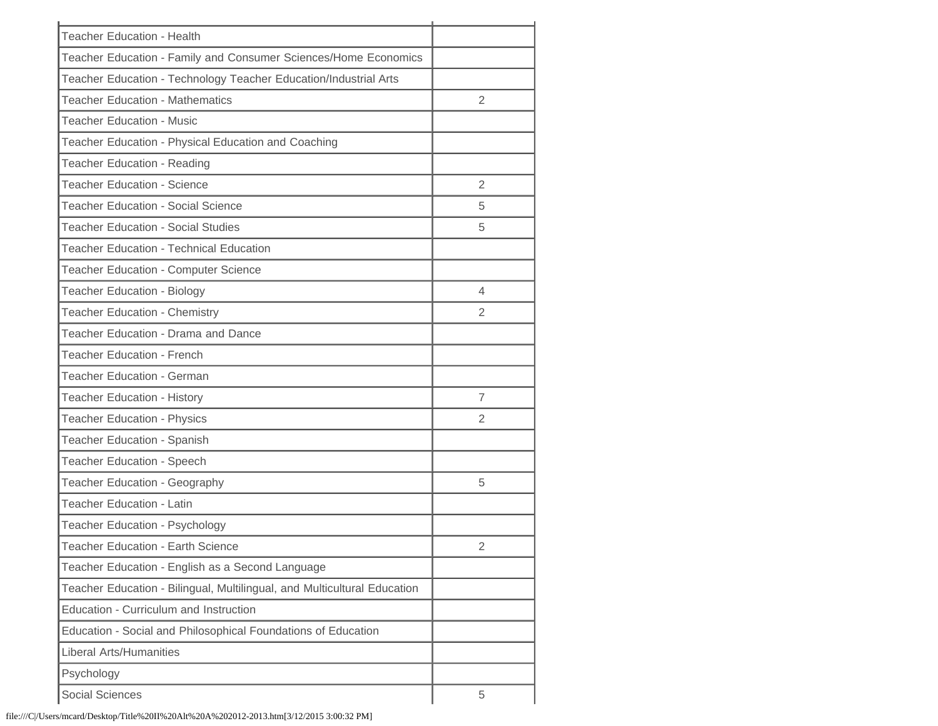| <b>Teacher Education - Health</b>                                        |                |
|--------------------------------------------------------------------------|----------------|
| Teacher Education - Family and Consumer Sciences/Home Economics          |                |
| Teacher Education - Technology Teacher Education/Industrial Arts         |                |
| <b>Teacher Education - Mathematics</b>                                   | 2              |
| <b>Teacher Education - Music</b>                                         |                |
| Teacher Education - Physical Education and Coaching                      |                |
| Teacher Education - Reading                                              |                |
| <b>Teacher Education - Science</b>                                       | 2              |
| <b>Teacher Education - Social Science</b>                                | 5              |
| <b>Teacher Education - Social Studies</b>                                | 5              |
| <b>Teacher Education - Technical Education</b>                           |                |
| Teacher Education - Computer Science                                     |                |
| <b>Teacher Education - Biology</b>                                       | 4              |
| <b>Teacher Education - Chemistry</b>                                     | 2              |
| Teacher Education - Drama and Dance                                      |                |
| <b>Teacher Education - French</b>                                        |                |
| <b>Teacher Education - German</b>                                        |                |
| <b>Teacher Education - History</b>                                       | $\overline{7}$ |
| <b>Teacher Education - Physics</b>                                       | 2              |
| Teacher Education - Spanish                                              |                |
| <b>Teacher Education - Speech</b>                                        |                |
| Teacher Education - Geography                                            | 5              |
| <b>Teacher Education - Latin</b>                                         |                |
| Teacher Education - Psychology                                           |                |
| <b>Teacher Education - Earth Science</b>                                 | 2              |
| Teacher Education - English as a Second Language                         |                |
| Teacher Education - Bilingual, Multilingual, and Multicultural Education |                |
| Education - Curriculum and Instruction                                   |                |
| Education - Social and Philosophical Foundations of Education            |                |
| <b>Liberal Arts/Humanities</b>                                           |                |
| Psychology                                                               |                |
| <b>Social Sciences</b>                                                   | 5              |
|                                                                          |                |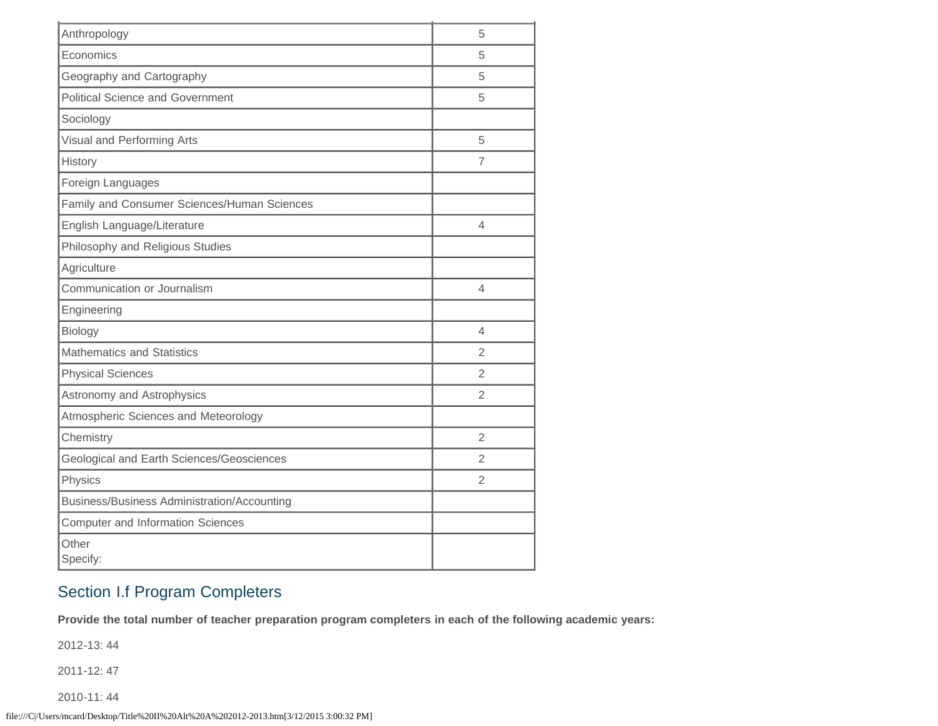| Anthropology                                | 5              |
|---------------------------------------------|----------------|
| Economics                                   | 5              |
| Geography and Cartography                   | 5              |
| <b>Political Science and Government</b>     | 5              |
| Sociology                                   |                |
| Visual and Performing Arts                  | 5              |
| History                                     | 7              |
| Foreign Languages                           |                |
| Family and Consumer Sciences/Human Sciences |                |
| English Language/Literature                 | $\overline{4}$ |
| Philosophy and Religious Studies            |                |
| Agriculture                                 |                |
| Communication or Journalism                 | $\overline{4}$ |
| Engineering                                 |                |
| Biology                                     | 4              |
| <b>Mathematics and Statistics</b>           | $\overline{2}$ |
| <b>Physical Sciences</b>                    | 2              |
| Astronomy and Astrophysics                  | 2              |
| Atmospheric Sciences and Meteorology        |                |
| Chemistry                                   | $\overline{2}$ |
| Geological and Earth Sciences/Geosciences   | $\overline{2}$ |
| Physics                                     | $\overline{2}$ |
| Business/Business Administration/Accounting |                |
| <b>Computer and Information Sciences</b>    |                |
| Other<br>Specify:                           |                |

# Section I.f Program Completers

**Provide the total number of teacher preparation program completers in each of the following academic years:**

2012-13: 44

2011-12: 47

2010-11: 44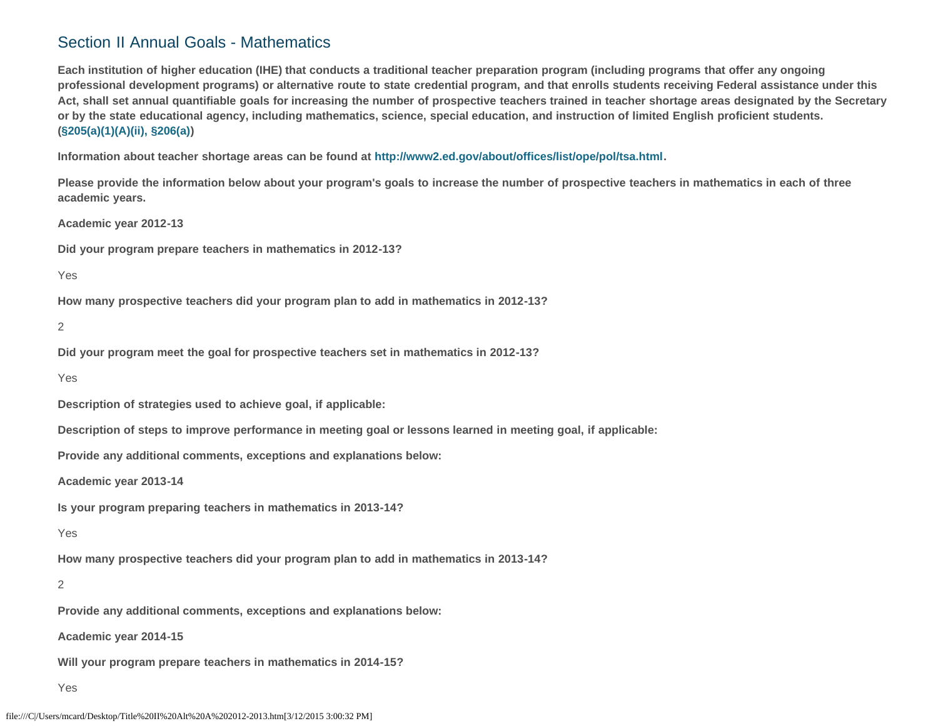### Section II Annual Goals - Mathematics

**Each institution of higher education (IHE) that conducts a traditional teacher preparation program (including programs that offer any ongoing professional development programs) or alternative route to state credential program, and that enrolls students receiving Federal assistance under this Act, shall set annual quantifiable goals for increasing the number of prospective teachers trained in teacher shortage areas designated by the Secretary or by the state educational agency, including mathematics, science, special education, and instruction of limited English proficient students. [\(§205\(a\)\(1\)\(A\)\(ii\), §206\(a\)\)](http://frwebgate.access.gpo.gov/cgi-bin/getdoc.cgi?dbname=110_cong_public_laws&docid=f:publ315.110.pdf)**

**Information about teacher shortage areas can be found at<http://www2.ed.gov/about/offices/list/ope/pol/tsa.html>.**

**Please provide the information below about your program's goals to increase the number of prospective teachers in mathematics in each of three academic years.**

**Academic year 2012-13**

**Did your program prepare teachers in mathematics in 2012-13?**

Yes

**How many prospective teachers did your program plan to add in mathematics in 2012-13?**

2

**Did your program meet the goal for prospective teachers set in mathematics in 2012-13?**

Yes

**Description of strategies used to achieve goal, if applicable:**

**Description of steps to improve performance in meeting goal or lessons learned in meeting goal, if applicable:**

**Provide any additional comments, exceptions and explanations below:**

**Academic year 2013-14**

**Is your program preparing teachers in mathematics in 2013-14?**

Yes

**How many prospective teachers did your program plan to add in mathematics in 2013-14?**

2

**Provide any additional comments, exceptions and explanations below:**

**Academic year 2014-15**

**Will your program prepare teachers in mathematics in 2014-15?**

Yes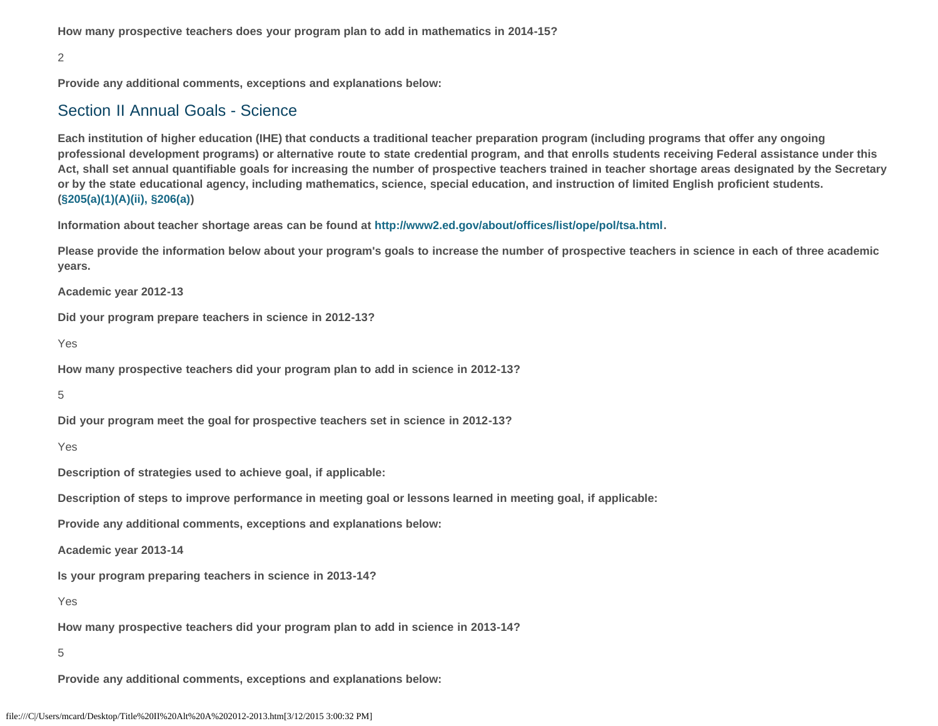**How many prospective teachers does your program plan to add in mathematics in 2014-15?**

#### 2

**Provide any additional comments, exceptions and explanations below:**

### Section II Annual Goals - Science

**Each institution of higher education (IHE) that conducts a traditional teacher preparation program (including programs that offer any ongoing professional development programs) or alternative route to state credential program, and that enrolls students receiving Federal assistance under this Act, shall set annual quantifiable goals for increasing the number of prospective teachers trained in teacher shortage areas designated by the Secretary or by the state educational agency, including mathematics, science, special education, and instruction of limited English proficient students. [\(§205\(a\)\(1\)\(A\)\(ii\), §206\(a\)\)](http://frwebgate.access.gpo.gov/cgi-bin/getdoc.cgi?dbname=110_cong_public_laws&docid=f:publ315.110.pdf)**

**Information about teacher shortage areas can be found at<http://www2.ed.gov/about/offices/list/ope/pol/tsa.html>.**

**Please provide the information below about your program's goals to increase the number of prospective teachers in science in each of three academic years.**

**Academic year 2012-13**

**Did your program prepare teachers in science in 2012-13?**

Yes

**How many prospective teachers did your program plan to add in science in 2012-13?**

5

**Did your program meet the goal for prospective teachers set in science in 2012-13?**

Yes

**Description of strategies used to achieve goal, if applicable:**

**Description of steps to improve performance in meeting goal or lessons learned in meeting goal, if applicable:**

**Provide any additional comments, exceptions and explanations below:**

**Academic year 2013-14**

**Is your program preparing teachers in science in 2013-14?**

Yes

**How many prospective teachers did your program plan to add in science in 2013-14?**

5

**Provide any additional comments, exceptions and explanations below:**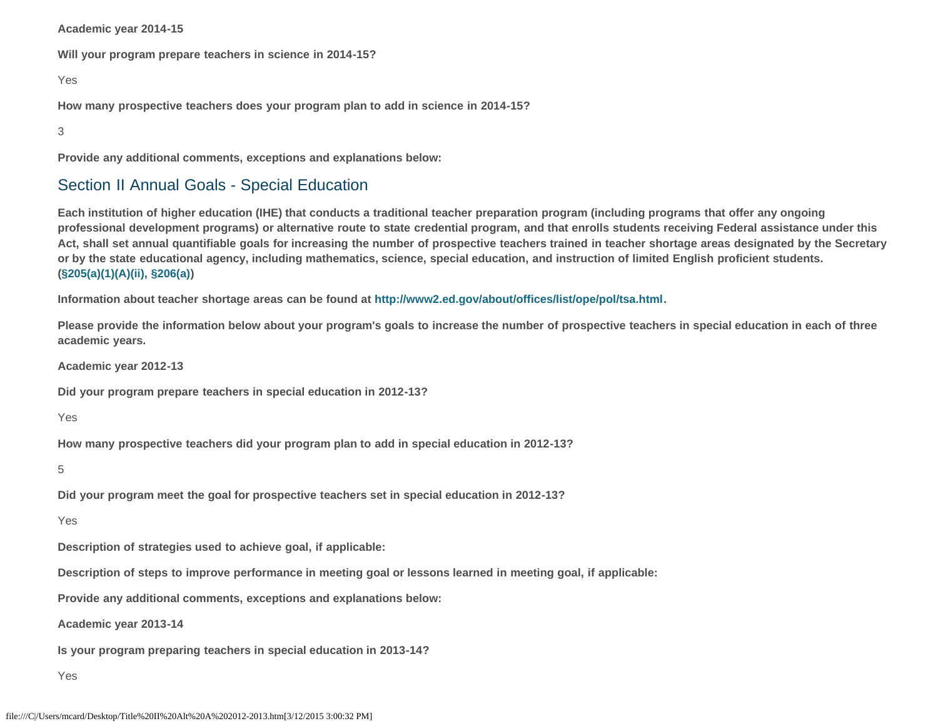**Academic year 2014-15**

**Will your program prepare teachers in science in 2014-15?**

Yes

**How many prospective teachers does your program plan to add in science in 2014-15?**

3

**Provide any additional comments, exceptions and explanations below:**

### Section II Annual Goals - Special Education

**Each institution of higher education (IHE) that conducts a traditional teacher preparation program (including programs that offer any ongoing professional development programs) or alternative route to state credential program, and that enrolls students receiving Federal assistance under this Act, shall set annual quantifiable goals for increasing the number of prospective teachers trained in teacher shortage areas designated by the Secretary or by the state educational agency, including mathematics, science, special education, and instruction of limited English proficient students. [\(§205\(a\)\(1\)\(A\)\(ii\), §206\(a\)\)](http://frwebgate.access.gpo.gov/cgi-bin/getdoc.cgi?dbname=110_cong_public_laws&docid=f:publ315.110.pdf)**

**Information about teacher shortage areas can be found at<http://www2.ed.gov/about/offices/list/ope/pol/tsa.html>.**

**Please provide the information below about your program's goals to increase the number of prospective teachers in special education in each of three academic years.**

**Academic year 2012-13**

**Did your program prepare teachers in special education in 2012-13?**

Yes

**How many prospective teachers did your program plan to add in special education in 2012-13?**

5

**Did your program meet the goal for prospective teachers set in special education in 2012-13?**

Yes

**Description of strategies used to achieve goal, if applicable:**

**Description of steps to improve performance in meeting goal or lessons learned in meeting goal, if applicable:**

**Provide any additional comments, exceptions and explanations below:**

**Academic year 2013-14**

**Is your program preparing teachers in special education in 2013-14?**

Yes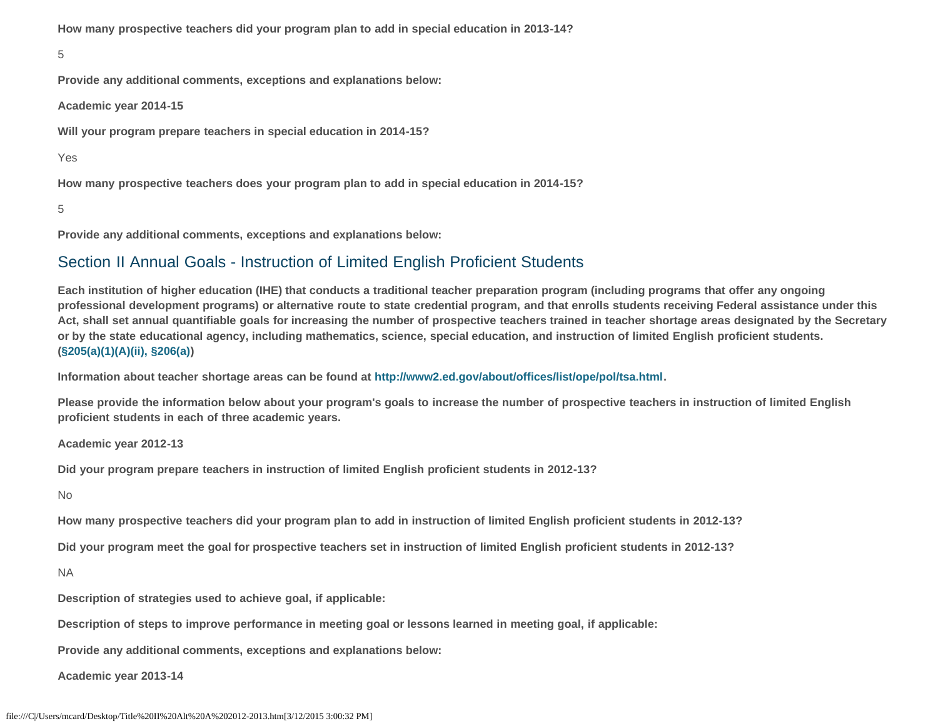**How many prospective teachers did your program plan to add in special education in 2013-14?**

```
5
```
**Provide any additional comments, exceptions and explanations below:**

**Academic year 2014-15**

**Will your program prepare teachers in special education in 2014-15?**

Yes

**How many prospective teachers does your program plan to add in special education in 2014-15?**

5

**Provide any additional comments, exceptions and explanations below:**

### Section II Annual Goals - Instruction of Limited English Proficient Students

**Each institution of higher education (IHE) that conducts a traditional teacher preparation program (including programs that offer any ongoing professional development programs) or alternative route to state credential program, and that enrolls students receiving Federal assistance under this Act, shall set annual quantifiable goals for increasing the number of prospective teachers trained in teacher shortage areas designated by the Secretary or by the state educational agency, including mathematics, science, special education, and instruction of limited English proficient students. [\(§205\(a\)\(1\)\(A\)\(ii\), §206\(a\)\)](http://frwebgate.access.gpo.gov/cgi-bin/getdoc.cgi?dbname=110_cong_public_laws&docid=f:publ315.110.pdf)**

**Information about teacher shortage areas can be found at<http://www2.ed.gov/about/offices/list/ope/pol/tsa.html>.**

**Please provide the information below about your program's goals to increase the number of prospective teachers in instruction of limited English proficient students in each of three academic years.**

**Academic year 2012-13**

**Did your program prepare teachers in instruction of limited English proficient students in 2012-13?**

No

**How many prospective teachers did your program plan to add in instruction of limited English proficient students in 2012-13?**

**Did your program meet the goal for prospective teachers set in instruction of limited English proficient students in 2012-13?**

NA

**Description of strategies used to achieve goal, if applicable:**

**Description of steps to improve performance in meeting goal or lessons learned in meeting goal, if applicable:**

**Provide any additional comments, exceptions and explanations below:**

**Academic year 2013-14**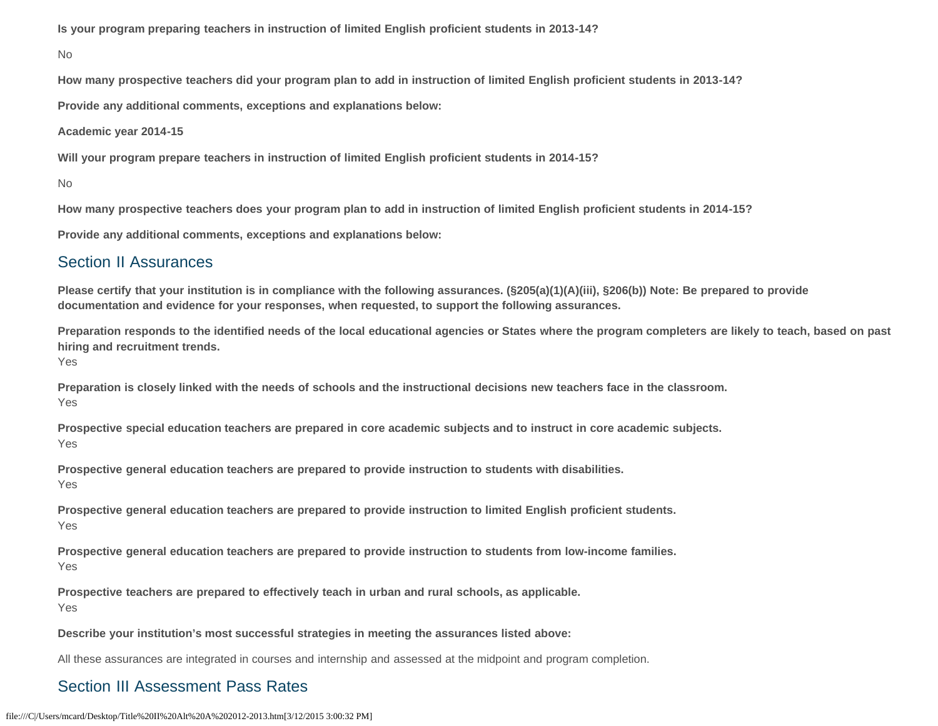**Is your program preparing teachers in instruction of limited English proficient students in 2013-14?**

No

**How many prospective teachers did your program plan to add in instruction of limited English proficient students in 2013-14?**

**Provide any additional comments, exceptions and explanations below:**

**Academic year 2014-15**

**Will your program prepare teachers in instruction of limited English proficient students in 2014-15?**

No

**How many prospective teachers does your program plan to add in instruction of limited English proficient students in 2014-15?**

**Provide any additional comments, exceptions and explanations below:**

### Section II Assurances

**Please certify that your institution is in compliance with the following assurances. (§205(a)(1)(A)(iii), §206(b)) Note: Be prepared to provide documentation and evidence for your responses, when requested, to support the following assurances.**

**Preparation responds to the identified needs of the local educational agencies or States where the program completers are likely to teach, based on past hiring and recruitment trends.**

Yes

**Preparation is closely linked with the needs of schools and the instructional decisions new teachers face in the classroom.**  Yes

**Prospective special education teachers are prepared in core academic subjects and to instruct in core academic subjects.** Yes

**Prospective general education teachers are prepared to provide instruction to students with disabilities.** Yes

**Prospective general education teachers are prepared to provide instruction to limited English proficient students.**  Yes

**Prospective general education teachers are prepared to provide instruction to students from low-income families.** Yes

**Prospective teachers are prepared to effectively teach in urban and rural schools, as applicable.** Yes

**Describe your institution's most successful strategies in meeting the assurances listed above:**

All these assurances are integrated in courses and internship and assessed at the midpoint and program completion.

## Section III Assessment Pass Rates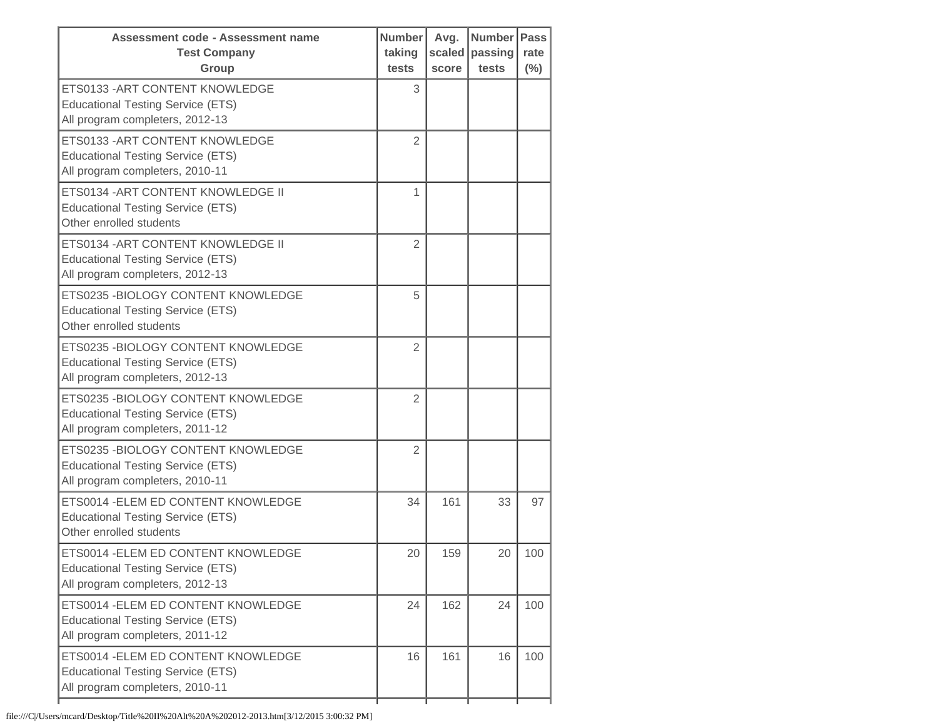| Assessment code - Assessment name<br><b>Test Company</b><br>Group                                                  | <b>Number</b><br>taking<br>tests | Avg.<br>scaled<br>score | Number<br>passing<br>tests | <b>Pass</b><br>rate<br>(%) |
|--------------------------------------------------------------------------------------------------------------------|----------------------------------|-------------------------|----------------------------|----------------------------|
| ETS0133 - ART CONTENT KNOWLEDGE<br><b>Educational Testing Service (ETS)</b><br>All program completers, 2012-13     | 3                                |                         |                            |                            |
| ETS0133 - ART CONTENT KNOWLEDGE<br><b>Educational Testing Service (ETS)</b><br>All program completers, 2010-11     | $\overline{2}$                   |                         |                            |                            |
| ETS0134 - ART CONTENT KNOWLEDGE II<br><b>Educational Testing Service (ETS)</b><br>Other enrolled students          | 1                                |                         |                            |                            |
| ETS0134 - ART CONTENT KNOWLEDGE II<br><b>Educational Testing Service (ETS)</b><br>All program completers, 2012-13  | $\overline{2}$                   |                         |                            |                            |
| ETS0235 - BIOLOGY CONTENT KNOWLEDGE<br><b>Educational Testing Service (ETS)</b><br>Other enrolled students         | 5                                |                         |                            |                            |
| ETS0235 - BIOLOGY CONTENT KNOWLEDGE<br><b>Educational Testing Service (ETS)</b><br>All program completers, 2012-13 | $\overline{2}$                   |                         |                            |                            |
| ETS0235 - BIOLOGY CONTENT KNOWLEDGE<br><b>Educational Testing Service (ETS)</b><br>All program completers, 2011-12 | 2                                |                         |                            |                            |
| ETS0235 - BIOLOGY CONTENT KNOWLEDGE<br><b>Educational Testing Service (ETS)</b><br>All program completers, 2010-11 | $\overline{2}$                   |                         |                            |                            |
| ETS0014 - ELEM ED CONTENT KNOWLEDGE<br><b>Educational Testing Service (ETS)</b><br>Other enrolled students         | 34                               | 161                     | 33                         | 97                         |
| ETS0014 - ELEM ED CONTENT KNOWLEDGE<br><b>Educational Testing Service (ETS)</b><br>All program completers, 2012-13 | 20                               | 159                     | 20                         | 100                        |
| ETS0014 - ELEM ED CONTENT KNOWLEDGE<br><b>Educational Testing Service (ETS)</b><br>All program completers, 2011-12 | 24                               | 162                     | 24                         | 100                        |
| ETS0014 - ELEM ED CONTENT KNOWLEDGE<br><b>Educational Testing Service (ETS)</b><br>All program completers, 2010-11 | 16                               | 161                     | 16                         | 100                        |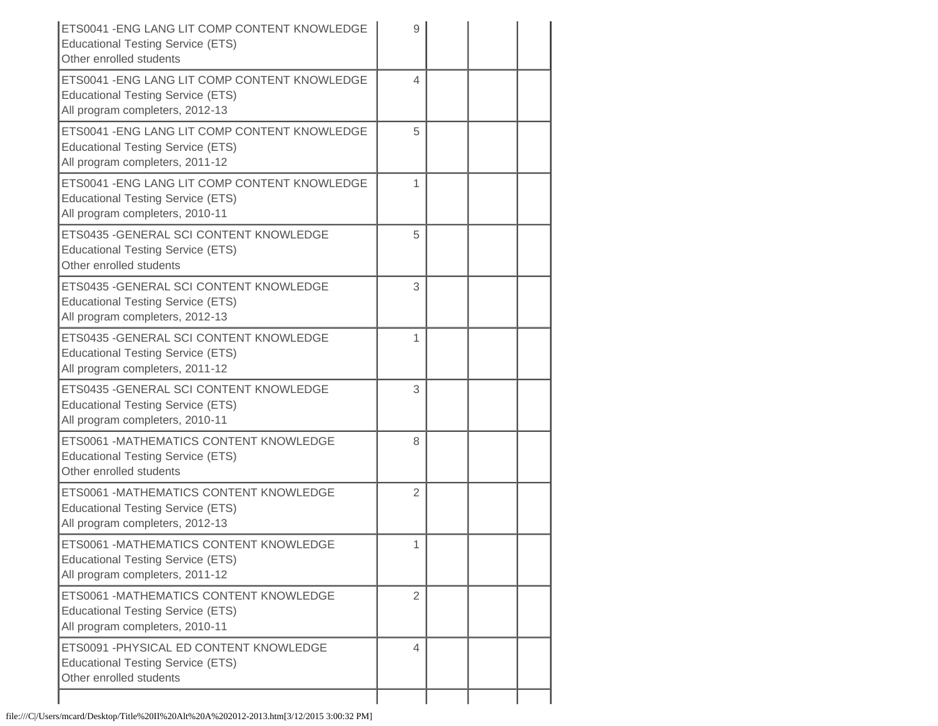| ETS0041 - ENG LANG LIT COMP CONTENT KNOWLEDGE<br><b>Educational Testing Service (ETS)</b><br>Other enrolled students         | 9              |  |  |
|------------------------------------------------------------------------------------------------------------------------------|----------------|--|--|
| ETS0041 - ENG LANG LIT COMP CONTENT KNOWLEDGE<br><b>Educational Testing Service (ETS)</b><br>All program completers, 2012-13 | 4              |  |  |
| ETS0041 - ENG LANG LIT COMP CONTENT KNOWLEDGE<br><b>Educational Testing Service (ETS)</b><br>All program completers, 2011-12 | 5              |  |  |
| ETS0041 - ENG LANG LIT COMP CONTENT KNOWLEDGE<br><b>Educational Testing Service (ETS)</b><br>All program completers, 2010-11 | 1              |  |  |
| ETS0435 - GENERAL SCI CONTENT KNOWLEDGE<br><b>Educational Testing Service (ETS)</b><br>Other enrolled students               | 5              |  |  |
| ETS0435 - GENERAL SCI CONTENT KNOWLEDGE<br><b>Educational Testing Service (ETS)</b><br>All program completers, 2012-13       | 3              |  |  |
| ETS0435 - GENERAL SCI CONTENT KNOWLEDGE<br><b>Educational Testing Service (ETS)</b><br>All program completers, 2011-12       | 1              |  |  |
| ETS0435 - GENERAL SCI CONTENT KNOWLEDGE<br><b>Educational Testing Service (ETS)</b><br>All program completers, 2010-11       | 3              |  |  |
| ETS0061 -MATHEMATICS CONTENT KNOWLEDGE<br><b>Educational Testing Service (ETS)</b><br>Other enrolled students                | 8              |  |  |
| ETS0061 - MATHEMATICS CONTENT KNOWLEDGE<br><b>Educational Testing Service (ETS)</b><br>All program completers, 2012-13       | $\overline{2}$ |  |  |
| ETS0061 -MATHEMATICS CONTENT KNOWLEDGE<br><b>Educational Testing Service (ETS)</b><br>All program completers, 2011-12        | 1              |  |  |
| ETS0061 -MATHEMATICS CONTENT KNOWLEDGE<br><b>Educational Testing Service (ETS)</b><br>All program completers, 2010-11        | $\overline{2}$ |  |  |
| ETS0091 - PHYSICAL ED CONTENT KNOWLEDGE<br><b>Educational Testing Service (ETS)</b><br>Other enrolled students               | 4              |  |  |
|                                                                                                                              |                |  |  |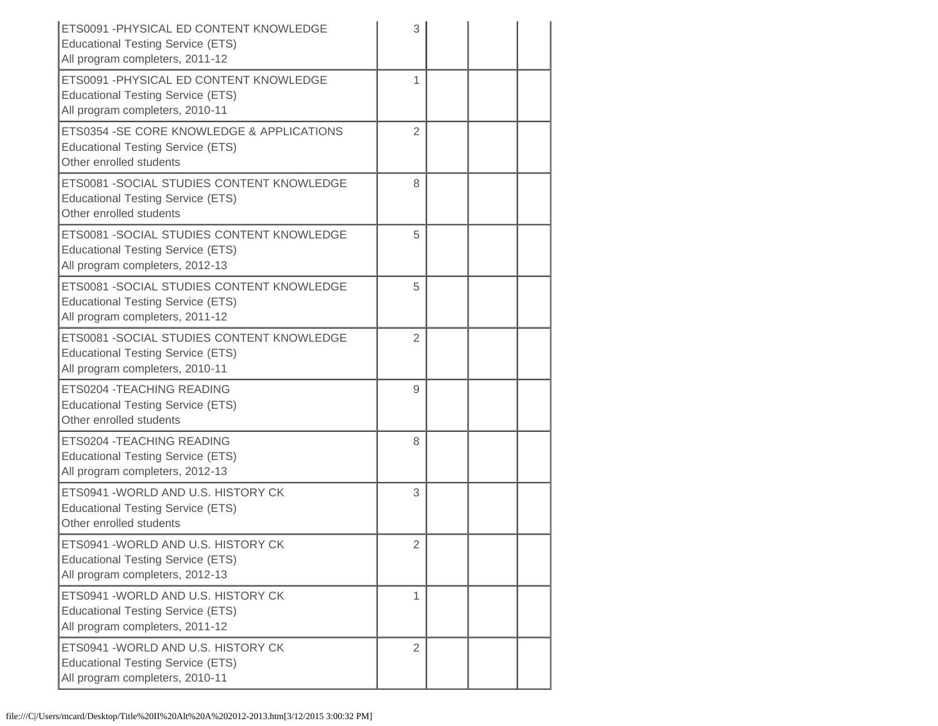| ETS0091 - PHYSICAL ED CONTENT KNOWLEDGE<br><b>Educational Testing Service (ETS)</b><br>All program completers, 2011-12    | 3              |  |  |
|---------------------------------------------------------------------------------------------------------------------------|----------------|--|--|
| ETS0091 - PHYSICAL ED CONTENT KNOWLEDGE<br><b>Educational Testing Service (ETS)</b><br>All program completers, 2010-11    | 1              |  |  |
| ETS0354 - SE CORE KNOWLEDGE & APPLICATIONS<br><b>Educational Testing Service (ETS)</b><br>Other enrolled students         | $\overline{2}$ |  |  |
| ETS0081 - SOCIAL STUDIES CONTENT KNOWLEDGE<br><b>Educational Testing Service (ETS)</b><br>Other enrolled students         | 8              |  |  |
| ETS0081 -SOCIAL STUDIES CONTENT KNOWLEDGE<br><b>Educational Testing Service (ETS)</b><br>All program completers, 2012-13  | 5              |  |  |
| ETS0081 - SOCIAL STUDIES CONTENT KNOWLEDGE<br><b>Educational Testing Service (ETS)</b><br>All program completers, 2011-12 | 5              |  |  |
| ETS0081 - SOCIAL STUDIES CONTENT KNOWLEDGE<br><b>Educational Testing Service (ETS)</b><br>All program completers, 2010-11 | $\overline{2}$ |  |  |
| ETS0204 - TEACHING READING<br><b>Educational Testing Service (ETS)</b><br>Other enrolled students                         | 9              |  |  |
| ETS0204 - TEACHING READING<br><b>Educational Testing Service (ETS)</b><br>All program completers, 2012-13                 | 8              |  |  |
| ETS0941 - WORLD AND U.S. HISTORY CK<br><b>Educational Testing Service (ETS)</b><br>Other enrolled students                | 3              |  |  |
| ETS0941 - WORLD AND U.S. HISTORY CK<br><b>Educational Testing Service (ETS)</b><br>All program completers, 2012-13        | 2              |  |  |
| ETS0941 - WORLD AND U.S. HISTORY CK<br><b>Educational Testing Service (ETS)</b><br>All program completers, 2011-12        | 1              |  |  |
| ETS0941 - WORLD AND U.S. HISTORY CK<br><b>Educational Testing Service (ETS)</b><br>All program completers, 2010-11        | $\overline{2}$ |  |  |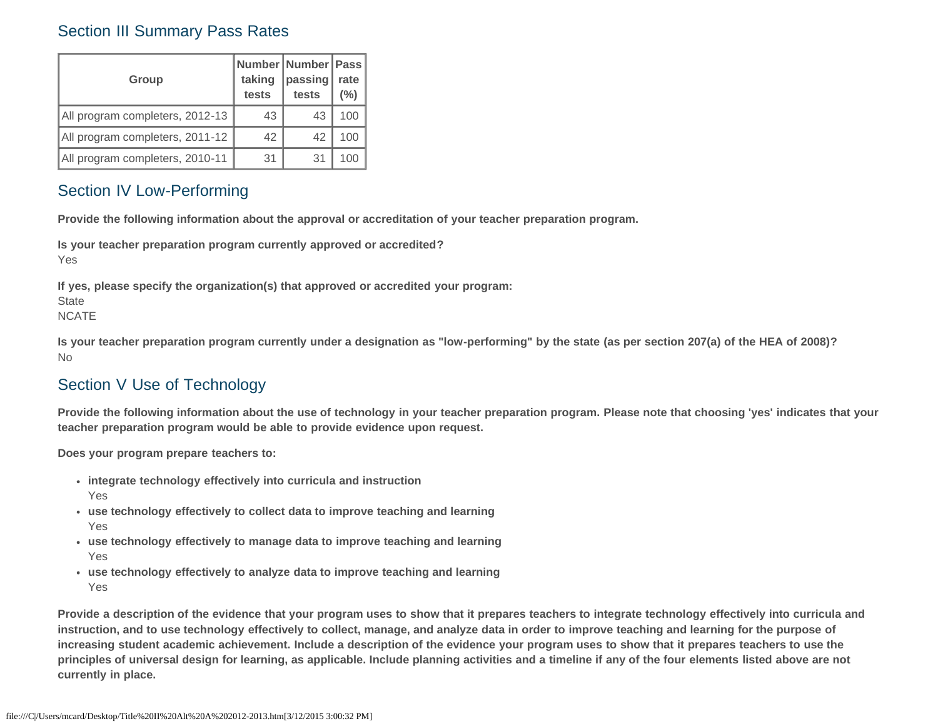### Section III Summary Pass Rates

| <b>Group</b>                    | taking<br>tests | Number Number   Pass  <br>passing<br>tests | rate<br>(%) |
|---------------------------------|-----------------|--------------------------------------------|-------------|
| All program completers, 2012-13 | 43              | 43                                         | 100         |
| All program completers, 2011-12 | 42              | 42                                         | 100         |
| All program completers, 2010-11 | 31              | 31                                         | 100         |

### Section IV Low-Performing

**Provide the following information about the approval or accreditation of your teacher preparation program.**

**Is your teacher preparation program currently approved or accredited?** Yes

**If yes, please specify the organization(s) that approved or accredited your program: State** NCATE

**Is your teacher preparation program currently under a designation as "low-performing" by the state (as per section 207(a) of the HEA of 2008)?** No

### Section V Use of Technology

**Provide the following information about the use of technology in your teacher preparation program. Please note that choosing 'yes' indicates that your teacher preparation program would be able to provide evidence upon request.**

**Does your program prepare teachers to:**

- **integrate technology effectively into curricula and instruction** Yes
- **use technology effectively to collect data to improve teaching and learning** Yes
- **use technology effectively to manage data to improve teaching and learning** Yes
- **use technology effectively to analyze data to improve teaching and learning** Yes

**Provide a description of the evidence that your program uses to show that it prepares teachers to integrate technology effectively into curricula and instruction, and to use technology effectively to collect, manage, and analyze data in order to improve teaching and learning for the purpose of increasing student academic achievement. Include a description of the evidence your program uses to show that it prepares teachers to use the principles of universal design for learning, as applicable. Include planning activities and a timeline if any of the four elements listed above are not currently in place.**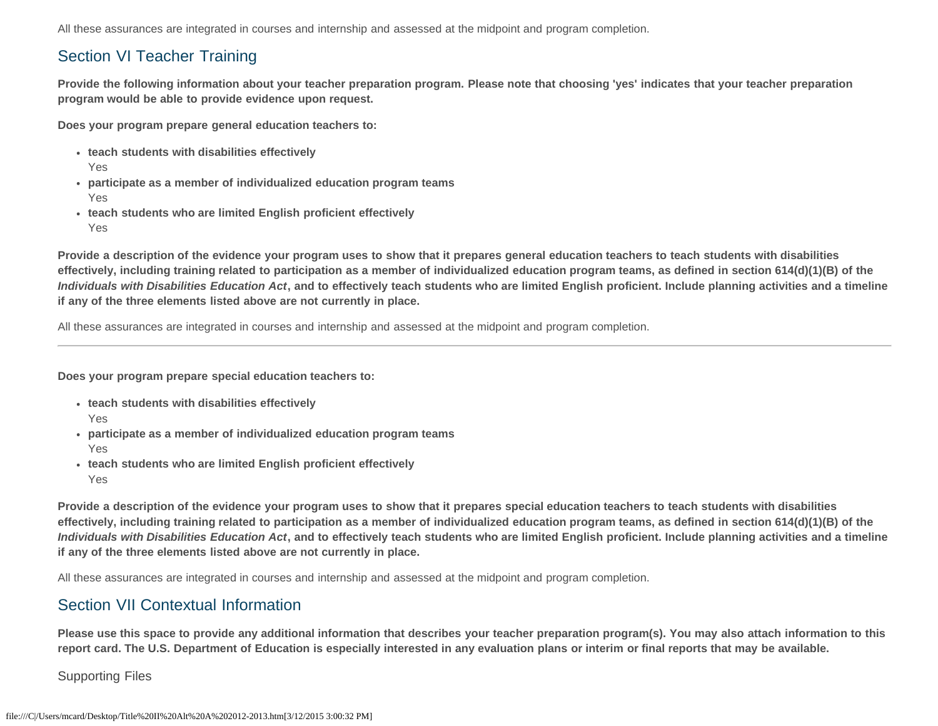All these assurances are integrated in courses and internship and assessed at the midpoint and program completion.

## Section VI Teacher Training

**Provide the following information about your teacher preparation program. Please note that choosing 'yes' indicates that your teacher preparation program would be able to provide evidence upon request.**

**Does your program prepare general education teachers to:**

- **teach students with disabilities effectively** Yes
- **participate as a member of individualized education program teams** Yes
- **teach students who are limited English proficient effectively** Yes

**Provide a description of the evidence your program uses to show that it prepares general education teachers to teach students with disabilities effectively, including training related to participation as a member of individualized education program teams, as defined in section 614(d)(1)(B) of the** *Individuals with Disabilities Education Act***, and to effectively teach students who are limited English proficient. Include planning activities and a timeline if any of the three elements listed above are not currently in place.**

All these assurances are integrated in courses and internship and assessed at the midpoint and program completion.

**Does your program prepare special education teachers to:**

- **teach students with disabilities effectively** Yes
- **participate as a member of individualized education program teams** Yes
- **teach students who are limited English proficient effectively** Yes

**Provide a description of the evidence your program uses to show that it prepares special education teachers to teach students with disabilities effectively, including training related to participation as a member of individualized education program teams, as defined in section 614(d)(1)(B) of the** *Individuals with Disabilities Education Act***, and to effectively teach students who are limited English proficient. Include planning activities and a timeline if any of the three elements listed above are not currently in place.**

All these assurances are integrated in courses and internship and assessed at the midpoint and program completion.

### Section VII Contextual Information

**Please use this space to provide any additional information that describes your teacher preparation program(s). You may also attach information to this report card. The U.S. Department of Education is especially interested in any evaluation plans or interim or final reports that may be available.**

Supporting Files